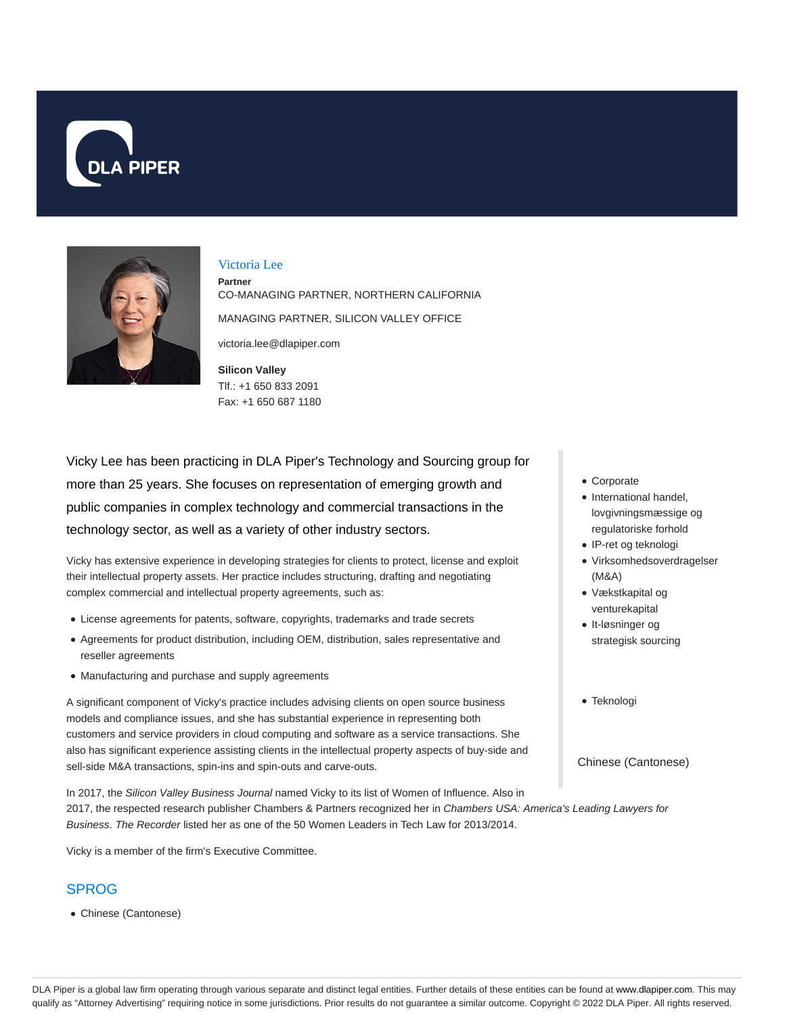



#### Victoria Lee

**Partner** CO-MANAGING PARTNER, NORTHERN CALIFORNIA MANAGING PARTNER, SILICON VALLEY OFFICE

victoria.lee@dlapiper.com

**Silicon Valley** Tlf.: +1 650 833 2091 Fax: +1 650 687 1180

Vicky Lee has been practicing in DLA Piper's Technology and Sourcing group for more than 25 years. She focuses on representation of emerging growth and public companies in complex technology and commercial transactions in the technology sector, as well as a variety of other industry sectors.

Vicky has extensive experience in developing strategies for clients to protect, license and exploit their intellectual property assets. Her practice includes structuring, drafting and negotiating complex commercial and intellectual property agreements, such as:

- License agreements for patents, software, copyrights, trademarks and trade secrets
- Agreements for product distribution, including OEM, distribution, sales representative and reseller agreements
- Manufacturing and purchase and supply agreements

A significant component of Vicky's practice includes advising clients on open source business models and compliance issues, and she has substantial experience in representing both customers and service providers in cloud computing and software as a service transactions. She also has significant experience assisting clients in the intellectual property aspects of buy-side and sell-side M&A transactions, spin-ins and spin-outs and carve-outs.

In 2017, the Silicon Valley Business Journal named Vicky to its list of Women of Influence. Also in 2017, the respected research publisher Chambers & Partners recognized her in Chambers USA: America's Leading Lawyers for Business. The Recorder listed her as one of the 50 Women Leaders in Tech Law for 2013/2014.

Vicky is a member of the firm's Executive Committee.

#### SPROG

Chinese (Cantonese)

- Corporate
- International handel, lovgivningsmæssige og regulatoriske forhold
- IP-ret og teknologi
- Virksomhedsoverdragelser (M&A)
- Vækstkapital og venturekapital
- It-løsninger og strategisk sourcing
- Teknologi

#### Chinese (Cantonese)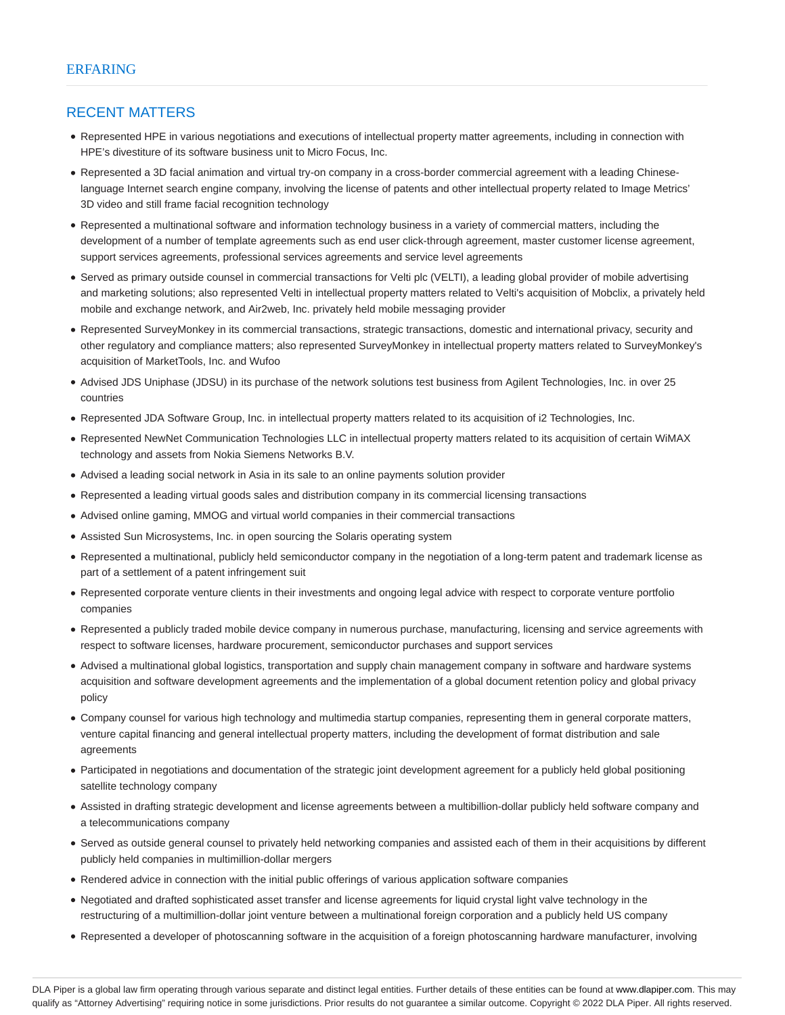## RECENT MATTERS

- Represented HPE in various negotiations and executions of intellectual property matter agreements, including in connection with HPE's divestiture of its software business unit to Micro Focus, Inc.
- Represented a 3D facial animation and virtual try-on company in a cross-border commercial agreement with a leading Chineselanguage Internet search engine company, involving the license of patents and other intellectual property related to Image Metrics' 3D video and still frame facial recognition technology
- Represented a multinational software and information technology business in a variety of commercial matters, including the development of a number of template agreements such as end user click-through agreement, master customer license agreement, support services agreements, professional services agreements and service level agreements
- Served as primary outside counsel in commercial transactions for Velti plc (VELTI), a leading global provider of mobile advertising and marketing solutions; also represented Velti in intellectual property matters related to Velti's acquisition of Mobclix, a privately held mobile and exchange network, and Air2web, Inc. privately held mobile messaging provider
- Represented SurveyMonkey in its commercial transactions, strategic transactions, domestic and international privacy, security and other regulatory and compliance matters; also represented SurveyMonkey in intellectual property matters related to SurveyMonkey's acquisition of MarketTools, Inc. and Wufoo
- Advised JDS Uniphase (JDSU) in its purchase of the network solutions test business from Agilent Technologies, Inc. in over 25 countries
- Represented JDA Software Group, Inc. in intellectual property matters related to its acquisition of i2 Technologies, Inc.
- Represented NewNet Communication Technologies LLC in intellectual property matters related to its acquisition of certain WiMAX technology and assets from Nokia Siemens Networks B.V.
- Advised a leading social network in Asia in its sale to an online payments solution provider
- Represented a leading virtual goods sales and distribution company in its commercial licensing transactions
- Advised online gaming, MMOG and virtual world companies in their commercial transactions
- Assisted Sun Microsystems, Inc. in open sourcing the Solaris operating system
- Represented a multinational, publicly held semiconductor company in the negotiation of a long-term patent and trademark license as part of a settlement of a patent infringement suit
- Represented corporate venture clients in their investments and ongoing legal advice with respect to corporate venture portfolio companies
- Represented a publicly traded mobile device company in numerous purchase, manufacturing, licensing and service agreements with respect to software licenses, hardware procurement, semiconductor purchases and support services
- Advised a multinational global logistics, transportation and supply chain management company in software and hardware systems acquisition and software development agreements and the implementation of a global document retention policy and global privacy policy
- Company counsel for various high technology and multimedia startup companies, representing them in general corporate matters, venture capital financing and general intellectual property matters, including the development of format distribution and sale agreements
- Participated in negotiations and documentation of the strategic joint development agreement for a publicly held global positioning satellite technology company
- Assisted in drafting strategic development and license agreements between a multibillion-dollar publicly held software company and a telecommunications company
- Served as outside general counsel to privately held networking companies and assisted each of them in their acquisitions by different publicly held companies in multimillion-dollar mergers
- Rendered advice in connection with the initial public offerings of various application software companies
- Negotiated and drafted sophisticated asset transfer and license agreements for liquid crystal light valve technology in the restructuring of a multimillion-dollar joint venture between a multinational foreign corporation and a publicly held US company
- Represented a developer of photoscanning software in the acquisition of a foreign photoscanning hardware manufacturer, involving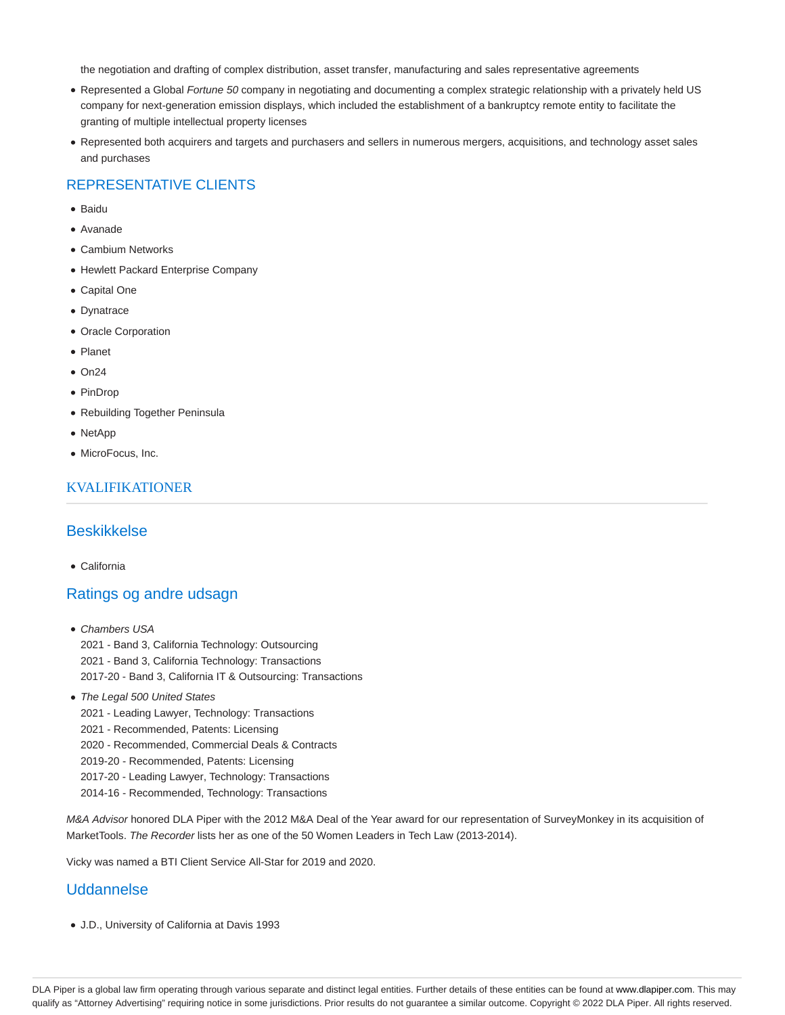the negotiation and drafting of complex distribution, asset transfer, manufacturing and sales representative agreements

- Represented a Global Fortune 50 company in negotiating and documenting a complex strategic relationship with a privately held US company for next-generation emission displays, which included the establishment of a bankruptcy remote entity to facilitate the granting of multiple intellectual property licenses
- Represented both acquirers and targets and purchasers and sellers in numerous mergers, acquisitions, and technology asset sales and purchases

# REPRESENTATIVE CLIENTS

- Baidu
- Avanade
- Cambium Networks
- Hewlett Packard Enterprise Company
- Capital One
- Dynatrace
- Oracle Corporation
- Planet
- $\bullet$  On24
- PinDrop
- Rebuilding Together Peninsula
- NetApp
- MicroFocus, Inc.

## KVALIFIKATIONER

## Beskikkelse

California

## Ratings og andre udsagn

- Chambers USA 2021 - Band 3, California Technology: Outsourcing 2021 - Band 3, California Technology: Transactions 2017-20 - Band 3, California IT & Outsourcing: Transactions
- The Legal 500 United States
	- 2021 Leading Lawyer, Technology: Transactions
	- 2021 Recommended, Patents: Licensing
	- 2020 Recommended, Commercial Deals & Contracts
	- 2019-20 Recommended, Patents: Licensing
	- 2017-20 Leading Lawyer, Technology: Transactions
	- 2014-16 Recommended, Technology: Transactions

M&A Advisor honored DLA Piper with the 2012 M&A Deal of the Year award for our representation of SurveyMonkey in its acquisition of MarketTools. The Recorder lists her as one of the 50 Women Leaders in Tech Law (2013-2014).

Vicky was named a BTI Client Service All-Star for 2019 and 2020.

### Uddannelse

J.D., University of California at Davis 1993